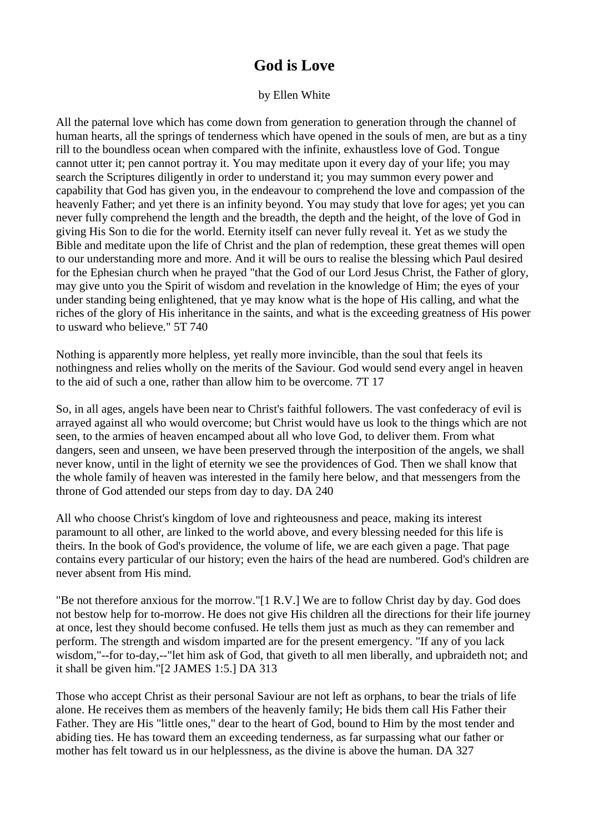## **God is Love**

## by Ellen White

All the paternal love which has come down from generation to generation through the channel of human hearts, all the springs of tenderness which have opened in the souls of men, are but as a tiny rill to the boundless ocean when compared with the infinite, exhaustless love of God. Tongue cannot utter it; pen cannot portray it. You may meditate upon it every day of your life; you may search the Scriptures diligently in order to understand it; you may summon every power and capability that God has given you, in the endeavour to comprehend the love and compassion of the heavenly Father; and yet there is an infinity beyond. You may study that love for ages; yet you can never fully comprehend the length and the breadth, the depth and the height, of the love of God in giving His Son to die for the world. Eternity itself can never fully reveal it. Yet as we study the Bible and meditate upon the life of Christ and the plan of redemption, these great themes will open to our understanding more and more. And it will be ours to realise the blessing which Paul desired for the Ephesian church when he prayed "that the God of our Lord Jesus Christ, the Father of glory, may give unto you the Spirit of wisdom and revelation in the knowledge of Him; the eyes of your under standing being enlightened, that ye may know what is the hope of His calling, and what the riches of the glory of His inheritance in the saints, and what is the exceeding greatness of His power to usward who believe." 5T 740

Nothing is apparently more helpless, yet really more invincible, than the soul that feels its nothingness and relies wholly on the merits of the Saviour. God would send every angel in heaven to the aid of such a one, rather than allow him to be overcome. 7T 17

So, in all ages, angels have been near to Christ's faithful followers. The vast confederacy of evil is arrayed against all who would overcome; but Christ would have us look to the things which are not seen, to the armies of heaven encamped about all who love God, to deliver them. From what dangers, seen and unseen, we have been preserved through the interposition of the angels, we shall never know, until in the light of eternity we see the providences of God. Then we shall know that the whole family of heaven was interested in the family here below, and that messengers from the throne of God attended our steps from day to day. DA 240

All who choose Christ's kingdom of love and righteousness and peace, making its interest paramount to all other, are linked to the world above, and every blessing needed for this life is theirs. In the book of God's providence, the volume of life, we are each given a page. That page contains every particular of our history; even the hairs of the head are numbered. God's children are never absent from His mind.

"Be not therefore anxious for the morrow."[1 R.V.] We are to follow Christ day by day. God does not bestow help for to-morrow. He does not give His children all the directions for their life journey at once, lest they should become confused. He tells them just as much as they can remember and perform. The strength and wisdom imparted are for the present emergency. "If any of you lack wisdom,"--for to-day,--"let him ask of God, that giveth to all men liberally, and upbraideth not; and it shall be given him."[2 JAMES 1:5.] DA 313

Those who accept Christ as their personal Saviour are not left as orphans, to bear the trials of life alone. He receives them as members of the heavenly family; He bids them call His Father their Father. They are His "little ones," dear to the heart of God, bound to Him by the most tender and abiding ties. He has toward them an exceeding tenderness, as far surpassing what our father or mother has felt toward us in our helplessness, as the divine is above the human. DA 327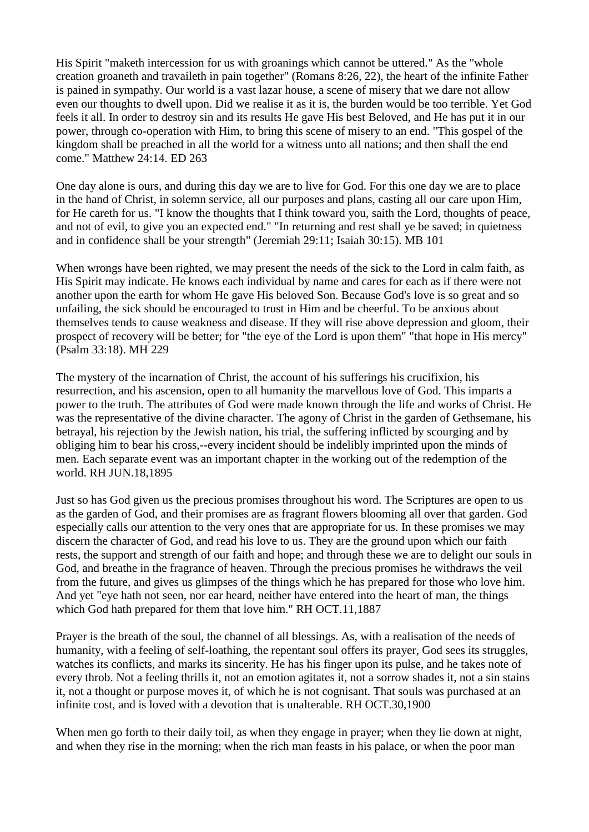His Spirit "maketh intercession for us with groanings which cannot be uttered." As the "whole creation groaneth and travaileth in pain together" (Romans 8:26, 22), the heart of the infinite Father is pained in sympathy. Our world is a vast lazar house, a scene of misery that we dare not allow even our thoughts to dwell upon. Did we realise it as it is, the burden would be too terrible. Yet God feels it all. In order to destroy sin and its results He gave His best Beloved, and He has put it in our power, through co-operation with Him, to bring this scene of misery to an end. "This gospel of the kingdom shall be preached in all the world for a witness unto all nations; and then shall the end come." Matthew 24:14. ED 263

One day alone is ours, and during this day we are to live for God. For this one day we are to place in the hand of Christ, in solemn service, all our purposes and plans, casting all our care upon Him, for He careth for us. "I know the thoughts that I think toward you, saith the Lord, thoughts of peace, and not of evil, to give you an expected end." "In returning and rest shall ye be saved; in quietness and in confidence shall be your strength" (Jeremiah 29:11; Isaiah 30:15). MB 101

When wrongs have been righted, we may present the needs of the sick to the Lord in calm faith, as His Spirit may indicate. He knows each individual by name and cares for each as if there were not another upon the earth for whom He gave His beloved Son. Because God's love is so great and so unfailing, the sick should be encouraged to trust in Him and be cheerful. To be anxious about themselves tends to cause weakness and disease. If they will rise above depression and gloom, their prospect of recovery will be better; for "the eye of the Lord is upon them" "that hope in His mercy" (Psalm 33:18). MH 229

The mystery of the incarnation of Christ, the account of his sufferings his crucifixion, his resurrection, and his ascension, open to all humanity the marvellous love of God. This imparts a power to the truth. The attributes of God were made known through the life and works of Christ. He was the representative of the divine character. The agony of Christ in the garden of Gethsemane, his betrayal, his rejection by the Jewish nation, his trial, the suffering inflicted by scourging and by obliging him to bear his cross,--every incident should be indelibly imprinted upon the minds of men. Each separate event was an important chapter in the working out of the redemption of the world. RH JUN.18,1895

Just so has God given us the precious promises throughout his word. The Scriptures are open to us as the garden of God, and their promises are as fragrant flowers blooming all over that garden. God especially calls our attention to the very ones that are appropriate for us. In these promises we may discern the character of God, and read his love to us. They are the ground upon which our faith rests, the support and strength of our faith and hope; and through these we are to delight our souls in God, and breathe in the fragrance of heaven. Through the precious promises he withdraws the veil from the future, and gives us glimpses of the things which he has prepared for those who love him. And yet "eye hath not seen, nor ear heard, neither have entered into the heart of man, the things which God hath prepared for them that love him." RH OCT.11,1887

Prayer is the breath of the soul, the channel of all blessings. As, with a realisation of the needs of humanity, with a feeling of self-loathing, the repentant soul offers its prayer, God sees its struggles, watches its conflicts, and marks its sincerity. He has his finger upon its pulse, and he takes note of every throb. Not a feeling thrills it, not an emotion agitates it, not a sorrow shades it, not a sin stains it, not a thought or purpose moves it, of which he is not cognisant. That souls was purchased at an infinite cost, and is loved with a devotion that is unalterable. RH OCT.30,1900

When men go forth to their daily toil, as when they engage in prayer; when they lie down at night, and when they rise in the morning; when the rich man feasts in his palace, or when the poor man